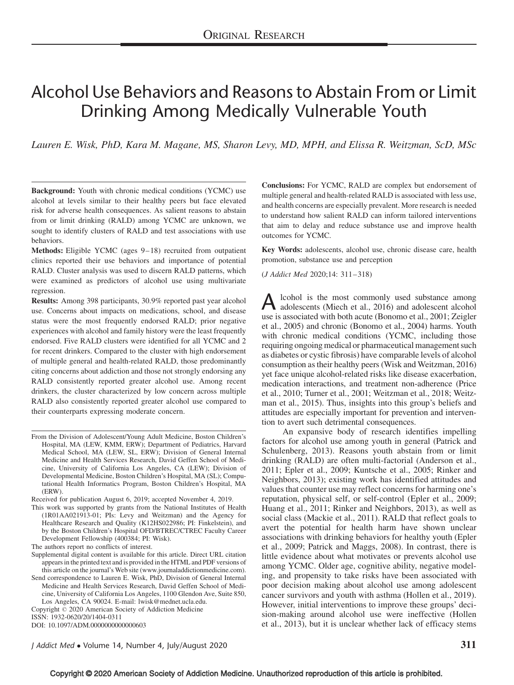# Alcohol Use Behaviors and Reasons to Abstain From or Limit Drinking Among Medically Vulnerable Youth

Lauren E. Wisk, PhD, Kara M. Magane, MS, Sharon Levy, MD, MPH, and Elissa R. Weitzman, ScD, MSc

Background: Youth with chronic medical conditions (YCMC) use alcohol at levels similar to their healthy peers but face elevated risk for adverse health consequences. As salient reasons to abstain from or limit drinking (RALD) among YCMC are unknown, we sought to identify clusters of RALD and test associations with use behaviors.

Methods: Eligible YCMC (ages 9–18) recruited from outpatient clinics reported their use behaviors and importance of potential RALD. Cluster analysis was used to discern RALD patterns, which were examined as predictors of alcohol use using multivariate regression.

Results: Among 398 participants, 30.9% reported past year alcohol use. Concerns about impacts on medications, school, and disease status were the most frequently endorsed RALD; prior negative experiences with alcohol and family history were the least frequently endorsed. Five RALD clusters were identified for all YCMC and 2 for recent drinkers. Compared to the cluster with high endorsement of multiple general and health-related RALD, those predominantly citing concerns about addiction and those not strongly endorsing any RALD consistently reported greater alcohol use. Among recent drinkers, the cluster characterized by low concern across multiple RALD also consistently reported greater alcohol use compared to their counterparts expressing moderate concern.

Received for publication August 6, 2019; accepted November 4, 2019.

The authors report no conflicts of interest.

Supplemental digital content is available for this article. Direct URL citation appears in the printed text and is provided in the HTML and PDF versions of this article on the journal's Web site (www.journaladdictionmedicine.com).

Copyright © 2020 American Society of Addiction Medicine ISSN: 1932-0620/20/1404-0311 DOI: 10.1097/ADM.0000000000000603

Conclusions: For YCMC, RALD are complex but endorsement of multiple general and health-related RALD is associated with less use, and health concerns are especially prevalent. More research is needed to understand how salient RALD can inform tailored interventions that aim to delay and reduce substance use and improve health outcomes for YCMC.

Key Words: adolescents, alcohol use, chronic disease care, health promotion, substance use and perception

(J Addict Med 2020;14: 311–318)

A lcohol is the most commonly used substance among<br>adolescents (Miech et al., 2016) and adolescent alcohol use is associated with both acute (Bonomo et al., 2001; Zeigler et al., 2005) and chronic (Bonomo et al., 2004) harms. Youth with chronic medical conditions (YCMC, including those requiring ongoing medical or pharmaceutical management such as diabetes or cystic fibrosis) have comparable levels of alcohol consumption as their healthy peers (Wisk and Weitzman, 2016) yet face unique alcohol-related risks like disease exacerbation, medication interactions, and treatment non-adherence (Price et al., 2010; Turner et al., 2001; Weitzman et al., 2018; Weitzman et al., 2015). Thus, insights into this group's beliefs and attitudes are especially important for prevention and intervention to avert such detrimental consequences.

An expansive body of research identifies impelling factors for alcohol use among youth in general (Patrick and Schulenberg, 2013). Reasons youth abstain from or limit drinking (RALD) are often multi-factorial (Anderson et al., 2011; Epler et al., 2009; Kuntsche et al., 2005; Rinker and Neighbors, 2013); existing work has identified attitudes and values that counter use may reflect concerns for harming one's reputation, physical self, or self-control (Epler et al., 2009; Huang et al., 2011; Rinker and Neighbors, 2013), as well as social class (Mackie et al., 2011). RALD that reflect goals to avert the potential for health harm have shown unclear associations with drinking behaviors for healthy youth (Epler et al., 2009; Patrick and Maggs, 2008). In contrast, there is little evidence about what motivates or prevents alcohol use among YCMC. Older age, cognitive ability, negative modeling, and propensity to take risks have been associated with poor decision making about alcohol use among adolescent cancer survivors and youth with asthma (Hollen et al., 2019). However, initial interventions to improve these groups' decision-making around alcohol use were ineffective (Hollen et al., 2013), but it is unclear whether lack of efficacy stems

From the Division of Adolescent/Young Adult Medicine, Boston Children's Hospital, MA (LEW, KMM, ERW); Department of Pediatrics, Harvard Medical School, MA (LEW, SL, ERW); Division of General Internal Medicine and Health Services Research, David Geffen School of Medicine, University of California Los Angeles, CA (LEW); Division of Developmental Medicine, Boston Children's Hospital, MA (SL); Computational Health Informatics Program, Boston Children's Hospital, MA (ERW).

This work was supported by grants from the National Institutes of Health (1R01AA021913-01; PIs: Levy and Weitzman) and the Agency for Healthcare Research and Quality (K12HS022986; PI: Finkelstein), and by the Boston Children's Hospital OFD/BTREC/CTREC Faculty Career Development Fellowship (400384; PI: Wisk).

Send correspondence to Lauren E. Wisk, PhD, Division of General Internal Medicine and Health Services Research, David Geffen School of Medicine, University of California Los Angeles, 1100 Glendon Ave, Suite 850, Los Angeles, CA 90024. E-mail: lwisk@mednet.ucla.edu.

J Addict Med  $\bullet$  Volume 14, Number 4, July/August 2020  $311$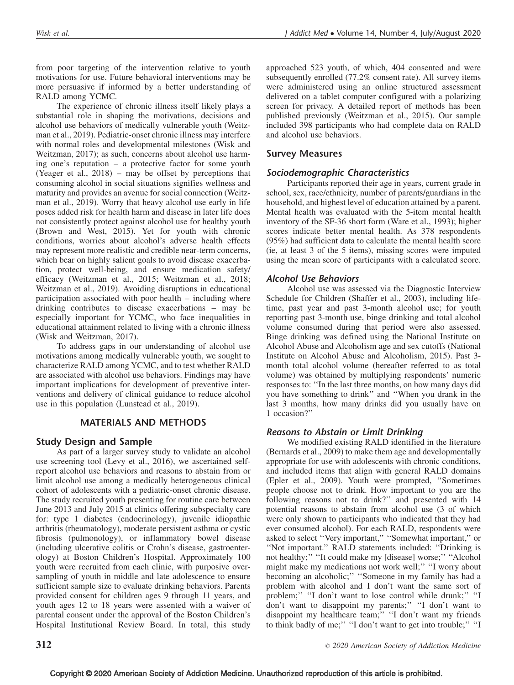from poor targeting of the intervention relative to youth motivations for use. Future behavioral interventions may be more persuasive if informed by a better understanding of RALD among YCMC.

The experience of chronic illness itself likely plays a substantial role in shaping the motivations, decisions and alcohol use behaviors of medically vulnerable youth (Weitzman et al., 2019). Pediatric-onset chronic illness may interfere with normal roles and developmental milestones (Wisk and Weitzman, 2017); as such, concerns about alcohol use harming one's reputation – a protective factor for some youth (Yeager et al., 2018) – may be offset by perceptions that consuming alcohol in social situations signifies wellness and maturity and provides an avenue for social connection (Weitzman et al., 2019). Worry that heavy alcohol use early in life poses added risk for health harm and disease in later life does not consistently protect against alcohol use for healthy youth (Brown and West, 2015). Yet for youth with chronic conditions, worries about alcohol's adverse health effects may represent more realistic and credible near-term concerns, which bear on highly salient goals to avoid disease exacerbation, protect well-being, and ensure medication safety/ efficacy (Weitzman et al., 2015; Weitzman et al., 2018; Weitzman et al., 2019). Avoiding disruptions in educational participation associated with poor health – including where drinking contributes to disease exacerbations – may be especially important for YCMC, who face inequalities in educational attainment related to living with a chronic illness (Wisk and Weitzman, 2017).

To address gaps in our understanding of alcohol use motivations among medically vulnerable youth, we sought to characterize RALD among YCMC, and to test whether RALD are associated with alcohol use behaviors. Findings may have important implications for development of preventive interventions and delivery of clinical guidance to reduce alcohol use in this population (Lunstead et al., 2019).

# MATERIALS AND METHODS

## Study Design and Sample

As part of a larger survey study to validate an alcohol use screening tool (Levy et al., 2016), we ascertained selfreport alcohol use behaviors and reasons to abstain from or limit alcohol use among a medically heterogeneous clinical cohort of adolescents with a pediatric-onset chronic disease. The study recruited youth presenting for routine care between June 2013 and July 2015 at clinics offering subspecialty care for: type 1 diabetes (endocrinology), juvenile idiopathic arthritis (rheumatology), moderate persistent asthma or cystic fibrosis (pulmonology), or inflammatory bowel disease (including ulcerative colitis or Crohn's disease, gastroenterology) at Boston Children's Hospital. Approximately 100 youth were recruited from each clinic, with purposive oversampling of youth in middle and late adolescence to ensure sufficient sample size to evaluate drinking behaviors. Parents provided consent for children ages 9 through 11 years, and youth ages 12 to 18 years were assented with a waiver of parental consent under the approval of the Boston Children's Hospital Institutional Review Board. In total, this study approached 523 youth, of which, 404 consented and were subsequently enrolled (77.2% consent rate). All survey items were administered using an online structured assessment delivered on a tablet computer configured with a polarizing screen for privacy. A detailed report of methods has been published previously (Weitzman et al., 2015). Our sample included 398 participants who had complete data on RALD and alcohol use behaviors.

# Survey Measures

## Sociodemographic Characteristics

Participants reported their age in years, current grade in school, sex, race/ethnicity, number of parents/guardians in the household, and highest level of education attained by a parent. Mental health was evaluated with the 5-item mental health inventory of the SF-36 short form (Ware et al., 1993); higher scores indicate better mental health. As 378 respondents (95%) had sufficient data to calculate the mental health score (ie, at least 3 of the 5 items), missing scores were imputed using the mean score of participants with a calculated score.

# Alcohol Use Behaviors

Alcohol use was assessed via the Diagnostic Interview Schedule for Children (Shaffer et al., 2003), including lifetime, past year and past 3-month alcohol use; for youth reporting past 3-month use, binge drinking and total alcohol volume consumed during that period were also assessed. Binge drinking was defined using the National Institute on Alcohol Abuse and Alcoholism age and sex cutoffs (National Institute on Alcohol Abuse and Alcoholism, 2015). Past 3 month total alcohol volume (hereafter referred to as total volume) was obtained by multiplying respondents' numeric responses to: ''In the last three months, on how many days did you have something to drink'' and ''When you drank in the last 3 months, how many drinks did you usually have on 1 occasion?''

## Reasons to Abstain or Limit Drinking

We modified existing RALD identified in the literature (Bernards et al., 2009) to make them age and developmentally appropriate for use with adolescents with chronic conditions, and included items that align with general RALD domains (Epler et al., 2009). Youth were prompted, ''Sometimes people choose not to drink. How important to you are the following reasons not to drink?'' and presented with 14 potential reasons to abstain from alcohol use (3 of which were only shown to participants who indicated that they had ever consumed alcohol). For each RALD, respondents were asked to select "Very important," "Somewhat important," or ''Not important.'' RALD statements included: ''Drinking is not healthy;'' ''It could make my [disease] worse;'' ''Alcohol might make my medications not work well;'' ''I worry about becoming an alcoholic;'' ''Someone in my family has had a problem with alcohol and I don't want the same sort of problem;'' ''I don't want to lose control while drunk;'' ''I don't want to disappoint my parents;'' ''I don't want to disappoint my healthcare team;'' ''I don't want my friends to think badly of me;'' ''I don't want to get into trouble;'' ''I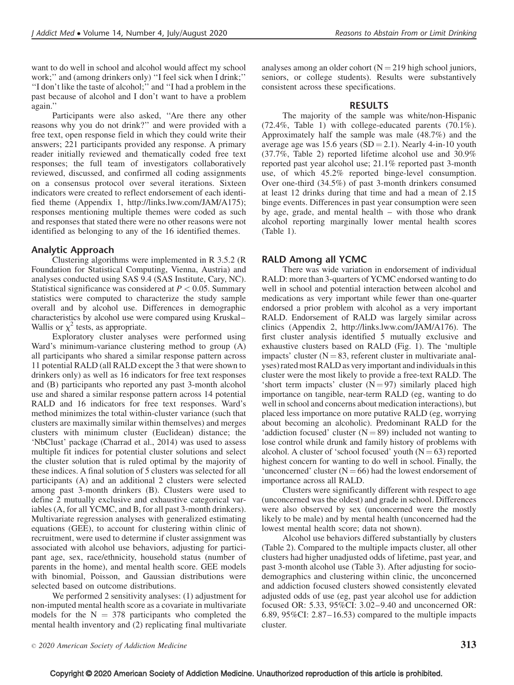want to do well in school and alcohol would affect my school work;'' and (among drinkers only) ''I feel sick when I drink;'' ''I don't like the taste of alcohol;'' and ''I had a problem in the past because of alcohol and I don't want to have a problem again.''

Participants were also asked, ''Are there any other reasons why you do not drink?'' and were provided with a free text, open response field in which they could write their answers; 221 participants provided any response. A primary reader initially reviewed and thematically coded free text responses; the full team of investigators collaboratively reviewed, discussed, and confirmed all coding assignments on a consensus protocol over several iterations. Sixteen indicators were created to reflect endorsement of each identified theme (Appendix 1, http://links.lww.com/JAM/A175); responses mentioning multiple themes were coded as such and responses that stated there were no other reasons were not identified as belonging to any of the 16 identified themes.

## Analytic Approach

Clustering algorithms were implemented in R 3.5.2 (R Foundation for Statistical Computing, Vienna, Austria) and analyses conducted using SAS 9.4 (SAS Institute, Cary, NC). Statistical significance was considered at  $P < 0.05$ . Summary statistics were computed to characterize the study sample overall and by alcohol use. Differences in demographic characteristics by alcohol use were compared using Kruskal– Wallis or  $\chi^2$  tests, as appropriate.

Exploratory cluster analyses were performed using Ward's minimum-variance clustering method to group (A) all participants who shared a similar response pattern across 11 potential RALD (all RALD except the 3 that were shown to drinkers only) as well as 16 indicators for free text responses and (B) participants who reported any past 3-month alcohol use and shared a similar response pattern across 14 potential RALD and 16 indicators for free text responses. Ward's method minimizes the total within-cluster variance (such that clusters are maximally similar within themselves) and merges clusters with minimum cluster (Euclidean) distance; the 'NbClust' package (Charrad et al., 2014) was used to assess multiple fit indices for potential cluster solutions and select the cluster solution that is ruled optimal by the majority of these indices. A final solution of 5 clusters was selected for all participants (A) and an additional 2 clusters were selected among past 3-month drinkers (B). Clusters were used to define 2 mutually exclusive and exhaustive categorical variables (A, for all YCMC, and B, for all past 3-month drinkers). Multivariate regression analyses with generalized estimating equations (GEE), to account for clustering within clinic of recruitment, were used to determine if cluster assignment was associated with alcohol use behaviors, adjusting for participant age, sex, race/ethnicity, household status (number of parents in the home), and mental health score. GEE models with binomial, Poisson, and Gaussian distributions were selected based on outcome distributions.

We performed 2 sensitivity analyses: (1) adjustment for non-imputed mental health score as a covariate in multivariate models for the  $N = 378$  participants who completed the mental health inventory and (2) replicating final multivariate analyses among an older cohort  $(N = 219)$  high school juniors, seniors, or college students). Results were substantively consistent across these specifications.

#### RESULTS

The majority of the sample was white/non-Hispanic (72.4%, Table 1) with college-educated parents (70.1%). Approximately half the sample was male (48.7%) and the average age was 15.6 years ( $SD = 2.1$ ). Nearly 4-in-10 youth (37.7%, Table 2) reported lifetime alcohol use and 30.9% reported past year alcohol use; 21.1% reported past 3-month use, of which 45.2% reported binge-level consumption. Over one-third (34.5%) of past 3-month drinkers consumed at least 12 drinks during that time and had a mean of 2.15 binge events. Differences in past year consumption were seen by age, grade, and mental health – with those who drank alcohol reporting marginally lower mental health scores (Table 1).

#### RALD Among all YCMC

There was wide variation in endorsement of individual RALD: more than 3-quarters of YCMC endorsed wanting to do well in school and potential interaction between alcohol and medications as very important while fewer than one-quarter endorsed a prior problem with alcohol as a very important RALD. Endorsement of RALD was largely similar across clinics (Appendix 2, http://links.lww.com/JAM/A176). The first cluster analysis identified 5 mutually exclusive and exhaustive clusters based on RALD (Fig. 1). The 'multiple impacts' cluster ( $N = 83$ , referent cluster in multivariate analyses) rated most RALD as veryimportant and individuals in this cluster were the most likely to provide a free-text RALD. The 'short term impacts' cluster  $(N = 97)$  similarly placed high importance on tangible, near-term RALD (eg, wanting to do well in school and concerns about medication interactions), but placed less importance on more putative RALD (eg, worrying about becoming an alcoholic). Predominant RALD for the 'addiction focused' cluster  $(N = 89)$  included not wanting to lose control while drunk and family history of problems with alcohol. A cluster of 'school focused' youth  $(N = 63)$  reported highest concern for wanting to do well in school. Finally, the 'unconcerned' cluster  $(N = 66)$  had the lowest endorsement of importance across all RALD.

Clusters were significantly different with respect to age (unconcerned was the oldest) and grade in school. Differences were also observed by sex (unconcerned were the mostly likely to be male) and by mental health (unconcerned had the lowest mental health score; data not shown).

Alcohol use behaviors differed substantially by clusters (Table 2). Compared to the multiple impacts cluster, all other clusters had higher unadjusted odds of lifetime, past year, and past 3-month alcohol use (Table 3). After adjusting for sociodemographics and clustering within clinic, the unconcerned and addiction focused clusters showed consistently elevated adjusted odds of use (eg, past year alcohol use for addiction focused OR: 5.33, 95%CI: 3.02–9.40 and unconcerned OR: 6.89, 95%CI: 2.87–16.53) compared to the multiple impacts cluster.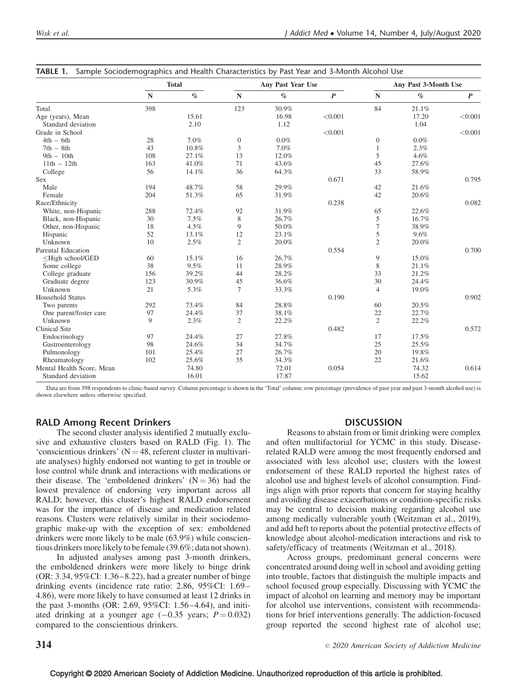|                                                                                                                                   |           | <b>Total</b> |                  | Any Past Year Use |                  |                | Any Past 3-Month Use |                  |
|-----------------------------------------------------------------------------------------------------------------------------------|-----------|--------------|------------------|-------------------|------------------|----------------|----------------------|------------------|
|                                                                                                                                   | ${\bf N}$ | $\%$         | ${\bf N}$        | $\%$              | $\boldsymbol{P}$ | ${\bf N}$      | $\%$                 | $\boldsymbol{P}$ |
| Total                                                                                                                             | 398       |              | 123              | 30.9%             |                  | 84             | 21.1%                |                  |
| Age (years), Mean                                                                                                                 |           | 15.61        |                  | 16.98             | < 0.001          |                | 17.20                | < 0.001          |
| Standard deviation                                                                                                                |           | 2.10         |                  | 1.12              |                  |                | 1.04                 |                  |
| Grade in School                                                                                                                   |           |              |                  |                   | < 0.001          |                |                      | < 0.001          |
| $4th - 6th$                                                                                                                       | 28        | 7.0%         | $\boldsymbol{0}$ | $0.0\%$           |                  | $\mathbf{0}$   | $0.0\%$              |                  |
| $7th - 8th$                                                                                                                       | 43        | 10.8%        | 3                | 7.0%              |                  | 1              | 2.3%                 |                  |
| $9th - 10th$                                                                                                                      | 108       | 27.1%        | 13               | 12.0%             |                  | 5              | 4.6%                 |                  |
| $11th - 12th$                                                                                                                     | 163       | 41.0%        | 71               | 43.6%             |                  | 45             | 27.6%                |                  |
| College                                                                                                                           | 56        | 14.1%        | 36               | 64.3%             |                  | 33             | 58.9%                |                  |
| <b>Sex</b>                                                                                                                        |           |              |                  |                   | 0.671            |                |                      | 0.795            |
| Male                                                                                                                              | 194       | 48.7%        | 58               | 29.9%             |                  | 42             | 21.6%                |                  |
| Female                                                                                                                            | 204       | 51.3%        | 65               | 31.9%             |                  | 42             | 20.6%                |                  |
| Race/Ethnicity                                                                                                                    |           |              |                  |                   | 0.238            |                |                      | 0.082            |
| White, non-Hispanic                                                                                                               | 288       | 72.4%        | 92               | 31.9%             |                  | 65             | 22.6%                |                  |
| Black, non-Hispanic                                                                                                               | 30        | 7.5%         | 8                | 26.7%             |                  | 5              | 16.7%                |                  |
| Other, non-Hispanic                                                                                                               | 18        | 4.5%         | 9                | 50.0%             |                  | 7              | 38.9%                |                  |
| Hispanic                                                                                                                          | 52        | 13.1%        | 12               | 23.1%             |                  | 5              | 9.6%                 |                  |
| Unknown                                                                                                                           | 10        | 2.5%         | $\overline{2}$   | 20.0%             |                  | $\overline{c}$ | 20.0%                |                  |
| Parental Education                                                                                                                |           |              |                  |                   | 0.554            |                |                      | 0.700            |
| <high ged<="" school="" td=""><td>60</td><td>15.1%</td><td>16</td><td>26.7%</td><td></td><td>9</td><td>15.0%</td><td></td></high> | 60        | 15.1%        | 16               | 26.7%             |                  | 9              | 15.0%                |                  |
| Some college                                                                                                                      | 38        | 9.5%         | 11               | 28.9%             |                  | 8              | 21.1%                |                  |
| College graduate                                                                                                                  | 156       | 39.2%        | 44               | 28.2%             |                  | 33             | 21.2%                |                  |
| Graduate degree                                                                                                                   | 123       | 30.9%        | 45               | 36.6%             |                  | 30             | 24.4%                |                  |
| Unknown                                                                                                                           | 21        | 5.3%         | $\tau$           | 33.3%             |                  | $\overline{4}$ | 19.0%                |                  |
| Household Status                                                                                                                  |           |              |                  |                   | 0.190            |                |                      | 0.902            |
| Two parents                                                                                                                       | 292       | 73.4%        | 84               | 28.8%             |                  | 60             | 20.5%                |                  |
| One parent/foster care                                                                                                            | 97        | 24.4%        | 37               | 38.1%             |                  | 22             | 22.7%                |                  |
| Unknown                                                                                                                           | 9         | 2.3%         | $\overline{c}$   | 22.2%             |                  | $\overline{2}$ | 22.2%                |                  |
| <b>Clinical Site</b>                                                                                                              |           |              |                  |                   | 0.482            |                |                      | 0.572            |
| Endocrinology                                                                                                                     | 97        | 24.4%        | 27               | 27.8%             |                  | 17             | 17.5%                |                  |
| Gastroenterology                                                                                                                  | 98        | 24.6%        | 34               | 34.7%             |                  | 25             | 25.5%                |                  |
| Pulmonology                                                                                                                       | 101       | 25.4%        | 27               | 26.7%             |                  | 20             | 19.8%                |                  |
| Rheumatology                                                                                                                      | 102       | 25.6%        | 35               | 34.3%             |                  | 22             | 21.6%                |                  |
| Mental Health Score, Mean                                                                                                         |           | 74.80        |                  | 72.01             | 0.054            |                | 74.32                | 0.614            |
| Standard deviation                                                                                                                |           | 16.01        |                  | 17.87             |                  |                | 15.62                |                  |

| TABLE 1. Sample Sociodemographics and Health Characteristics by Past Year and 3-Month Alcohol Use |
|---------------------------------------------------------------------------------------------------|
|                                                                                                   |

Data are from 398 respondents to clinic-based survey. Column percentage is shown in the 'Total' column; row percentage (prevalence of past year and past 3-month alcohol use) is shown elsewhere unless otherwise specified.

## RALD Among Recent Drinkers

The second cluster analysis identified 2 mutually exclusive and exhaustive clusters based on RALD (Fig. 1). The 'conscientious drinkers'  $(N = 48$ , referent cluster in multivariate analyses) highly endorsed not wanting to get in trouble or lose control while drunk and interactions with medications or their disease. The 'emboldened drinkers'  $(N = 36)$  had the lowest prevalence of endorsing very important across all RALD; however, this cluster's highest RALD endorsement was for the importance of disease and medication related reasons. Clusters were relatively similar in their sociodemographic make-up with the exception of sex: emboldened drinkers were more likely to be male (63.9%) while conscientious drinkers more likely to be female (39.6%; data not shown).

In adjusted analyses among past 3-month drinkers, the emboldened drinkers were more likely to binge drink (OR: 3.34, 95%CI: 1.36–8.22), had a greater number of binge drinking events (incidence rate ratio: 2.86, 95%CI: 1.69– 4.86), were more likely to have consumed at least 12 drinks in the past 3-months (OR: 2.69, 95%CI: 1.56–4.64), and initiated drinking at a younger age  $(-0.35 \text{ years}; P = 0.032)$ compared to the conscientious drinkers.

#### **DISCUSSION**

Reasons to abstain from or limit drinking were complex and often multifactorial for YCMC in this study. Diseaserelated RALD were among the most frequently endorsed and associated with less alcohol use; clusters with the lowest endorsement of these RALD reported the highest rates of alcohol use and highest levels of alcohol consumption. Findings align with prior reports that concern for staying healthy and avoiding disease exacerbations or condition-specific risks may be central to decision making regarding alcohol use among medically vulnerable youth (Weitzman et al., 2019), and add heft to reports about the potential protective effects of knowledge about alcohol-medication interactions and risk to safety/efficacy of treatments (Weitzman et al., 2018).

Across groups, predominant general concerns were concentrated around doing well in school and avoiding getting into trouble, factors that distinguish the multiple impacts and school focused group especially. Discussing with YCMC the impact of alcohol on learning and memory may be important for alcohol use interventions, consistent with recommendations for brief interventions generally. The addiction-focused group reported the second highest rate of alcohol use;

## $314$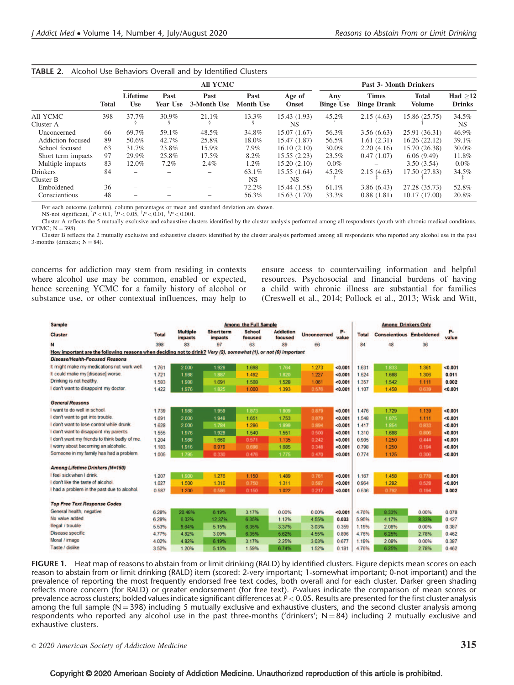|                    |              |                        |                  | <b>All YCMC</b>     |                          |                        |                         | <b>Past 3- Month Drinkers</b>      |                               |                            |
|--------------------|--------------|------------------------|------------------|---------------------|--------------------------|------------------------|-------------------------|------------------------------------|-------------------------------|----------------------------|
|                    | <b>Total</b> | Lifetime<br><b>Use</b> | Past<br>Year Use | Past<br>3-Month Use | Past<br><b>Month Use</b> | Age of<br><b>Onset</b> | Any<br><b>Binge Use</b> | <b>Times</b><br><b>Binge Drank</b> | <b>Total</b><br><b>Volume</b> | Had $>12$<br><b>Drinks</b> |
| All YCMC           | 398          | 37.7%                  | 30.9%            | 21.1%               | 13.3%                    | 15.43 (1.93)           | 45.2%                   | 2.15(4.63)                         | 15.86 (25.75)                 | 34.5%                      |
| Cluster A          |              |                        |                  |                     |                          | NS.                    |                         |                                    |                               | NS.                        |
| Unconcerned        | 66           | 69.7%                  | 59.1%            | 48.5%               | 34.8%                    | 15.07 (1.67)           | 56.3%                   | 3.56(6.63)                         | 25.91 (36.31)                 | 46.9%                      |
| Addiction focused  | 89           | 50.6%                  | 42.7%            | 25.8%               | 18.0%                    | 15.47 (1.87)           | 56.5%                   | 1.61(2.31)                         | 16.26(22.12)                  | 39.1%                      |
| School focused     | 63           | 31.7%                  | 23.8%            | 15.9%               | 7.9%                     | 16.10(2.10)            | 30.0%                   | 2.20(4.16)                         | 15.70 (26.38)                 | 30.0%                      |
| Short term impacts | 97           | 29.9%                  | 25.8%            | 17.5%               | 8.2%                     | 15.55(2.23)            | 23.5%                   | 0.47(1.07)                         | 6.06(9.49)                    | 11.8%                      |
| Multiple impacts   | 83           | 12.0%                  | $7.2\%$          | 2.4%                | 1.2%                     | 15.20(2.10)            | $0.0\%$                 |                                    | 3.50(3.54)                    | $0.0\%$                    |
| <b>Drinkers</b>    | 84           |                        |                  | -                   | 63.1%                    | 15.55 (1.64)           | 45.2%                   | 2.15(4.63)                         | 17.50 (27.83)                 | 34.5%                      |
| Cluster B          |              |                        |                  |                     | NS.                      | NS.                    |                         |                                    |                               |                            |
| Emboldened         | 36           |                        |                  |                     | 72.2%                    | 15.44 (1.58)           | 61.1%                   | 3.86(6.43)                         | 27.28 (35.73)                 | 52.8%                      |
| Conscientious      | 48           |                        |                  |                     | 56.3%                    | 15.63(1.70)            | 33.3%                   | 0.88(1.81)                         | 10.17 (17.00)                 | 20.8%                      |

For each outcome (column), column percentages or mean and standard deviation are shown.<br>NS-not significant,  $[P < 0.1, {}^{\dagger}P < 0.05, {}^{\dagger}P < 0.01, {}^{\dagger}P < 0.001$ .

Cluster A reflects the 5 mutually exclusive and exhaustive clusters identified by the cluster analysis performed among all respondents (youth with chronic medical conditions, YCMC;  $N = 398$ ).

Cluster B reflects the 2 mutually exclusive and exhaustive clusters identified by the cluster analysis performed among all respondents who reported any alcohol use in the past 3-months (drinkers;  $N = 84$ ).

concerns for addiction may stem from residing in contexts where alcohol use may be common, enabled or expected, hence screening YCMC for a family history of alcohol or substance use, or other contextual influences, may help to

ensure access to countervailing information and helpful resources. Psychosocial and financial burdens of having a child with chronic illness are substantial for families (Creswell et al., 2014; Pollock et al., 2013; Wisk and Witt,

| <b>Sample</b>                                                                                                    |              |                            |                              | <b>Among the Full Sample</b> |                             |                    |             |              | <b>Among Drinkers Only</b>      |       |             |
|------------------------------------------------------------------------------------------------------------------|--------------|----------------------------|------------------------------|------------------------------|-----------------------------|--------------------|-------------|--------------|---------------------------------|-------|-------------|
| <b>Cluster</b>                                                                                                   | <b>Total</b> | <b>Multiple</b><br>impacts | <b>Short term</b><br>impacts | <b>School</b><br>focused     | <b>Addiction</b><br>focused | <b>Unconcerned</b> | P-<br>value | <b>Total</b> | <b>Conscientious Emboldened</b> |       | P-<br>value |
| N                                                                                                                | 398          | 83                         | 97                           | 63                           | 89                          | 66                 |             | 84           | 48                              | 36    |             |
| How important are the following reasons when deciding not to drink? Very (2), somewhat (1), or not (0) important |              |                            |                              |                              |                             |                    |             |              |                                 |       |             |
| <b>Disease/Health-Focused Reasons</b>                                                                            |              |                            |                              |                              |                             |                    |             |              |                                 |       |             |
| It might make my medications not work well.                                                                      | 1.761        | 2.000                      | 1.928                        | 1.698                        | 1.764                       | 1.273              | < 0.001     | 1.631        | 1.833                           | 1.361 | < 0.001     |
| It could make my [disease] worse.                                                                                | 1.721        | 1.988                      | 1.887                        | 1.492                        | 1.820                       | 1.227              | < 0.001     | 1.524        | 1.688                           | 1.306 | 0.011       |
| Drinking is not healthy.                                                                                         | 1.583        | 1.988                      | 1.691                        | 1.508                        | 1.528                       | 1.061              | < 0.001     | 1.357        | 1.542                           | 1.111 | 0.002       |
| I don't want to disappoint my doctor.                                                                            | 1.422        | 1.976                      | 1.825                        | 1.000                        | 1.393                       | 0.678              | < 0.001     | 1.107        | 1.458                           | 0.639 | < 0.001     |
| <b>General Reasons</b>                                                                                           |              |                            |                              |                              |                             |                    |             |              |                                 |       |             |
| I want to do well in school.                                                                                     | 1.739        | 1.988                      | 1.959                        | 1.873                        | 1.809                       | 0.879              | < 0.001     | 1.476        | 1.729                           | 1.139 | < 0.001     |
| I don't want to get into trouble.                                                                                | 1.691        | 2.000                      | 1.948                        | 1.651                        | 1.753                       | 0.879              | < 0.001     | 1,548        | 1.875                           | 1.111 | < 0.001     |
| I don't want to lose control while drunk.                                                                        | 1.628        | 2.000                      | 1.784                        | 1.286                        | 1.899                       | 0.894              | < 0.001     | 1.417        | 1.854                           | 0833  | < 0.001     |
| I don't want to disappoint my parents.                                                                           | 1.555        | 1.976                      | 1.928                        | 1.540                        | 1.551                       | 0.500              | < 0.001     | 1.310        | 1.688                           | 0.806 | < 0.001     |
| I don't want my friends to think badly of me.                                                                    | 1,204        | 1.988                      | 1.660                        | 0.571                        | 1.135                       | 0.242              | < 0.001     | 0905         | 1.250                           | 0.444 | < 0.001     |
| I worry about becoming an alcoholic.                                                                             | 1.183        | 1.916                      | 0.979                        | 0.696                        | 1.685                       | 0.348              | < 0.001     | 0.798        | 1.250                           | 0.194 | < 0.001     |
| Someone in my family has had a problem.                                                                          | 1.005        | 1.795                      | 0.330                        | 0.476                        | 1.775                       | 0.470              | < 0.001     | 0.774        | 1.125                           | 0.306 | < 0.001     |
| <b>Among Lifetime Drinkers (N=150)</b>                                                                           |              |                            |                              |                              |                             |                    |             |              |                                 |       |             |
| I feel sick when I drink.                                                                                        | 1.207        | 1.900                      | 1.276                        | 1.150                        | 1.489                       | 0.761              | < 0.001     | 1.167        | 1.458                           | 0.778 | < 0.001     |
| I don't like the taste of alcohol.                                                                               | 1.027        | 1.500                      | 1.310                        | 0.760                        | 1.311                       | 0.587              | < 0.001     | 0.964        | 1.292                           | 0.528 | < 0.001     |
| I had a problem in the past due to alcohol.                                                                      | 0.587        | 1.200                      | 0.586                        | 0.150                        | 1.022                       | 0.217              | < 0.001     | 0.536        | 0.792                           | 0.194 | 0.002       |
| <b>Top Free Text Response Codes</b>                                                                              |              |                            |                              |                              |                             |                    |             |              |                                 |       |             |
| General health, negative                                                                                         | 6.28%        | 20.48%                     | 6.19%                        | 3.17%                        | 0.00%                       | 0.00%              | < 0.001     | 4.76%        | 8.33%                           | 0.00% | 0.078       |
| No value added                                                                                                   | 6.28%        | 6.02%                      | 12.37%                       | 6.35%                        | 1.12%                       | 4.55%              | 0.033       | 5.95%        | 4.17%                           | 8.33% | 0.427       |
| Illegal / trouble                                                                                                | 5.53%        | 9.64%                      | 5.15%                        | 6.35%                        | 3.37%                       | 3.03%              | 0.359       | 1.19%        | 2.08%                           | 0.00% | 0.387       |
| Disease specific                                                                                                 | 4.77%        | 4.82%                      | 3.09%                        | 6.35%                        | 5.62%                       | 4.55%              | 0.896       | 4.76%        | 6.25%                           | 2.78% | 0.462       |
| Moral / image                                                                                                    | 4.02%        | 4.82%                      | 6.19%                        | 3.17%                        | 2.25%                       | 3.03%              | 0.677       | 1.19%        | 2.08%                           | 0.00% | 0.387       |
| Taste / dislike                                                                                                  | 3.52%        | 1.20%                      | 5.15%                        | 1.59%                        | 6.74%                       | 1.52%              | 0.181       | 4.76%        | 6.25%                           | 2.78% | 0.462       |

FIGURE 1. Heat map of reasons to abstain from or limit drinking (RALD) by identified clusters. Figure depicts mean scores on each reason to abstain from or limit drinking (RALD) item (scored: 2-very important; 1-somewhat important; 0-not important) and the prevalence of reporting the most frequently endorsed free text codes, both overall and for each cluster. Darker green shading reflects more concern (for RALD) or greater endorsement (for free text). P-values indicate the comparison of mean scores or prevalence across clusters; bolded values indicate significant differences at  $P < 0.05$ . Results are presented for the first cluster analysis among the full sample ( $N = 398$ ) including 5 mutually exclusive and exhaustive clusters, and the second cluster analysis among respondents who reported any alcohol use in the past three-months ('drinkers';  $N = 84$ ) including 2 mutually exclusive and exhaustive clusters.

 $\circ$  2020 American Society of Addiction Medicine  $315$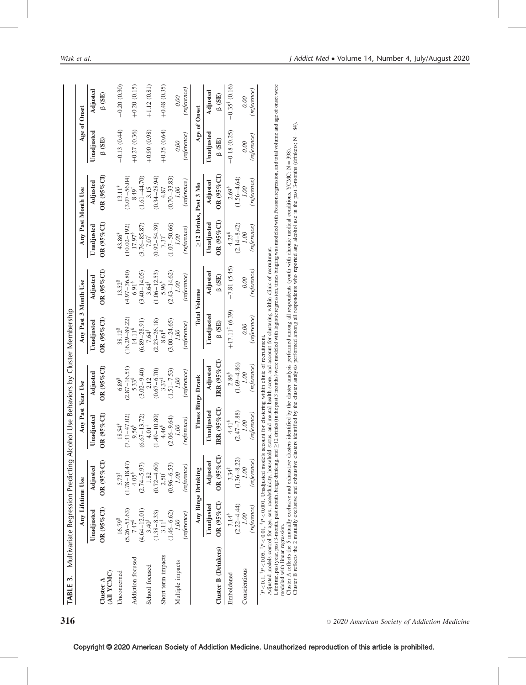| TABLE 3. Multivariate Regression Predicting Alcohol Use Behaviors by Cluster Membership |                                       |                         |                                                                                                                                                                                                                                                                                                                                                                                                                                                                                                                                            |                             |                                         |                                      |                                         |                             |               |                               |
|-----------------------------------------------------------------------------------------|---------------------------------------|-------------------------|--------------------------------------------------------------------------------------------------------------------------------------------------------------------------------------------------------------------------------------------------------------------------------------------------------------------------------------------------------------------------------------------------------------------------------------------------------------------------------------------------------------------------------------------|-----------------------------|-----------------------------------------|--------------------------------------|-----------------------------------------|-----------------------------|---------------|-------------------------------|
|                                                                                         |                                       | Any Lifetime Use        | Any Past Year Use                                                                                                                                                                                                                                                                                                                                                                                                                                                                                                                          |                             | Any Past 3 Month Use                    |                                      | Any Past Month Use                      |                             | Age of Onset  |                               |
|                                                                                         | Unadjusted                            | Adjusted                | Unadjusted                                                                                                                                                                                                                                                                                                                                                                                                                                                                                                                                 | Adjusted                    | Unadjusted                              | Adjusted                             | Unadjusted                              | Adjusted                    | Unadjusted    | Adjusted                      |
| (All YCMC)<br>Cluster A                                                                 | OR (95%CI)                            | OR (95%CI)              | $OR(95\%CI)$                                                                                                                                                                                                                                                                                                                                                                                                                                                                                                                               | $OR$ (95% CI)               | $OR$ (95% CI)                           | OR (95%CI)                           | OR (95%CI)                              | $OR$ (95% CI)               | $\beta$ (SE)  | (3E)                          |
| Unconcerned                                                                             | 16.79 <sup>8</sup>                    | 5.73#                   | $18.54^8$                                                                                                                                                                                                                                                                                                                                                                                                                                                                                                                                  | $6.89\overset{\text{S}}{ }$ | 38.12 <sup>8</sup>                      | $13.52^{8}$                          | 43.86 <sup>8</sup>                      | $13.11^{8}$                 | $-0.13(0.44)$ | $-0.20(0.30)$                 |
|                                                                                         | $(5.26 - 53.63)$                      | $(1.78 - 18.47)$        | $(7.31 - 47.02)$                                                                                                                                                                                                                                                                                                                                                                                                                                                                                                                           | $(2.87 - 16.53)$            | $(16.29 - 89.22)$                       | $(4.97 - 36.80)$                     | $(10.02 - 192)$                         | $(3.07 - 56.04)$            |               |                               |
| Addiction focused                                                                       | 7.47 <sup>8</sup>                     | $4.05^8$                | 9.56 <sup>8</sup>                                                                                                                                                                                                                                                                                                                                                                                                                                                                                                                          | 5.33                        | 14.11 <sup>8</sup>                      | 6.91 <sup>8</sup>                    | 17.97 <sup>8</sup>                      | $8.49^{\dagger}$            | $+0.27(0.36)$ | $+0.20(0.15)$                 |
| School focused                                                                          | $(4.64 - 12.01)$<br>$3.40^{\ddagger}$ | $(2.74 - 5.97)$<br>1.82 | $(6.67 - 13.72)$<br>$4.01$ <sup>#</sup>                                                                                                                                                                                                                                                                                                                                                                                                                                                                                                    | $(3.02 - 9.40)$<br>2.12     | $(6.89 - 28.91)$<br>$7.64$ <sup>#</sup> | $(3.40 - 14.05)$<br>$3.64^{\dagger}$ | $(3.76 - 85.87)$<br>$7.07$ <sup>-</sup> | $(1.61 - 44.70)$<br>3.15    | $+0.90(0.98)$ | $+1.12(0.81)$                 |
|                                                                                         | $(1.38 - 8.33)$<br>$3.11^{\ddagger}$  | $(0.72 - 4.60)$         | $(1.49 - 10.80)$                                                                                                                                                                                                                                                                                                                                                                                                                                                                                                                           | $(0.67 - 6.70)$             | $(2.23 - 26.18)$                        | $(1.06 - 12.53)$                     | $(0.92 - 54.39)$                        | $(0.34 - 28.94)$            |               |                               |
| Short term impacts                                                                      |                                       | $2.50^{\degree}$        | 4.46 <sup>8</sup>                                                                                                                                                                                                                                                                                                                                                                                                                                                                                                                          | 3.37 <sup>1</sup>           | 8.61 <sup>8</sup>                       | 5.96 <sup>8</sup>                    | $7.37^{\circ}$                          | 4.87                        | $+0.35(0.64)$ | $+0.48(0.35)$                 |
|                                                                                         | $(1.46 - 6.62)$                       | $(0.96 - 6.53)$         | $(2.06 - 9.64)$                                                                                                                                                                                                                                                                                                                                                                                                                                                                                                                            | $(1.51 - 7.53)$             | $(3.00 - 24.65)$                        | $(2.43 - 14.62)$                     | $(1.07 - 50.66)$                        | $(0.70 - 33.83)$            |               |                               |
| Multiple impacts                                                                        | 001                                   | 00'                     | 00                                                                                                                                                                                                                                                                                                                                                                                                                                                                                                                                         | 00'I                        | 001                                     | 1.00                                 | 00                                      | 00'                         | 0.00          | 0.00                          |
|                                                                                         | (reference)                           | (reference)             | (reference,                                                                                                                                                                                                                                                                                                                                                                                                                                                                                                                                | (reference,                 | (reference)                             | (reference)                          | (reference)                             | (reference,                 | (reference)   | (reference)                   |
|                                                                                         |                                       | Any Binge Drinking      |                                                                                                                                                                                                                                                                                                                                                                                                                                                                                                                                            | Times Binge Drank           |                                         | <b>Total Volume</b>                  |                                         | $\geq$ 12 Drinks, Past 3 Mo | Age of Onset  |                               |
|                                                                                         | Unadjusted                            | Adjusted                | Unadjusted                                                                                                                                                                                                                                                                                                                                                                                                                                                                                                                                 | Adjusted                    | Unadjusted                              | Adjusted                             | Unadjusted                              | Adjusted                    | Unadjusted    | Adjusted                      |
| <b>Cluster B (Drinkers)</b>                                                             | OR (95%CI)                            | OR (95% CI)             | IRR $(95\%$ CI)                                                                                                                                                                                                                                                                                                                                                                                                                                                                                                                            | IRR $(95\%$ CI)             | (SE)                                    | $\beta$ (SE)                         | OR (95% CI)                             | $OR$ (95% $Cl$ )            | (SE)          | $\beta$ (SE)                  |
| Emboldened                                                                              | 3.14 <sup>8</sup>                     | $3.34$ <sup>1</sup>     | 4.41 <sup>8</sup>                                                                                                                                                                                                                                                                                                                                                                                                                                                                                                                          | 2.86 <sup>8</sup>           | $+17.11^{t}$ (6.39)                     | $+7.81(5.45)$                        | 4.25 <sup>8</sup>                       | $2.69^8$                    | $-0.18(0.25)$ | $-0.35$ <sup>†</sup> $(0.16)$ |
| Conscientious                                                                           | $(2.22 - 4.44)$<br>00.1               | $(1.36 - 8.22)$<br>1.00 | $(2.47 - 7.88)$<br>967                                                                                                                                                                                                                                                                                                                                                                                                                                                                                                                     | $(1.69 - 4.86)$<br>00'I     | 0.00                                    | 0.00                                 | $(2.14 - 8.42)$<br>00                   | $(1.56 - 4.64)$<br>00.I     | 0.00          | 0.00                          |
|                                                                                         | (reference)                           | (reference)             | (reference,                                                                                                                                                                                                                                                                                                                                                                                                                                                                                                                                | (reference)                 | (reference)                             | (reference)                          | (reference,                             | (reference,                 | (reference)   | (reference)                   |
| modeled with linear regression.                                                         |                                       |                         | Lifetime, past year, past 3-month, past month, binge drinking, and >12 drinks (in the past 3 months) were modeled with logistic regression, times binging was modeled with Poisson regression, and total volume and age of ons<br>Adjusted models control for age, sex, race/ethnicity, household status, and mental health score, and account for clustering within clinic of recruitment<br>$P < 0.1$ , ${}^{t}P < 0.05$ , ${}^{t}P < 0.01$ , ${}^{s}P < 0.001$ . Unadjusted models account for clustering within clinic of recruitment. |                             |                                         |                                      |                                         |                             |               |                               |

Cluster A reflects the 5 mutually exclusive and exhaustive clusters identified by the cluster analysis performed among all respondents (youth with chronic medical conditions, YCMC; N

Cluster B reflects the 2 mutually exclusive and exhaustive clusters identified by the cluster analysis performed among all respondents who reported any alcohol use in the past 3-months (drinkers; N

 $= 398.$ 

 $= 84.$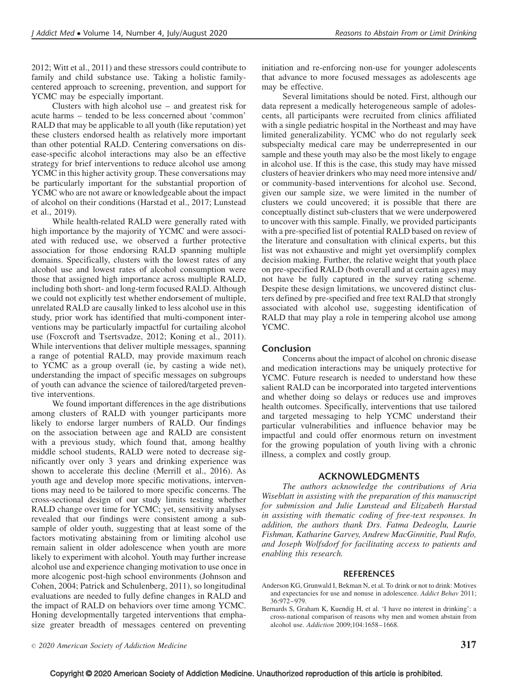2012; Witt et al., 2011) and these stressors could contribute to family and child substance use. Taking a holistic familycentered approach to screening, prevention, and support for YCMC may be especially important.

Clusters with high alcohol use – and greatest risk for acute harms – tended to be less concerned about 'common' RALD that may be applicable to all youth (like reputation) yet these clusters endorsed health as relatively more important than other potential RALD. Centering conversations on disease-specific alcohol interactions may also be an effective strategy for brief interventions to reduce alcohol use among YCMC in this higher activity group. These conversations may be particularly important for the substantial proportion of YCMC who are not aware or knowledgeable about the impact of alcohol on their conditions (Harstad et al., 2017; Lunstead et al., 2019).

While health-related RALD were generally rated with high importance by the majority of YCMC and were associated with reduced use, we observed a further protective association for those endorsing RALD spanning multiple domains. Specifically, clusters with the lowest rates of any alcohol use and lowest rates of alcohol consumption were those that assigned high importance across multiple RALD, including both short- and long-term focused RALD. Although we could not explicitly test whether endorsement of multiple, unrelated RALD are causally linked to less alcohol use in this study, prior work has identified that multi-component interventions may be particularly impactful for curtailing alcohol use (Foxcroft and Tsertsvadze, 2012; Koning et al., 2011). While interventions that deliver multiple messages, spanning a range of potential RALD, may provide maximum reach to YCMC as a group overall (ie, by casting a wide net), understanding the impact of specific messages on subgroups of youth can advance the science of tailored/targeted preventive interventions.

We found important differences in the age distributions among clusters of RALD with younger participants more likely to endorse larger numbers of RALD. Our findings on the association between age and RALD are consistent with a previous study, which found that, among healthy middle school students, RALD were noted to decrease significantly over only 3 years and drinking experience was shown to accelerate this decline (Merrill et al., 2016). As youth age and develop more specific motivations, interventions may need to be tailored to more specific concerns. The cross-sectional design of our study limits testing whether RALD change over time for YCMC; yet, sensitivity analyses revealed that our findings were consistent among a subsample of older youth, suggesting that at least some of the factors motivating abstaining from or limiting alcohol use remain salient in older adolescence when youth are more likely to experiment with alcohol. Youth may further increase alcohol use and experience changing motivation to use once in more alcogenic post-high school environments (Johnson and Cohen, 2004; Patrick and Schulenberg, 2011), so longitudinal evaluations are needed to fully define changes in RALD and the impact of RALD on behaviors over time among YCMC. Honing developmentally targeted interventions that emphasize greater breadth of messages centered on preventing

initiation and re-enforcing non-use for younger adolescents that advance to more focused messages as adolescents age may be effective.

Several limitations should be noted. First, although our data represent a medically heterogeneous sample of adolescents, all participants were recruited from clinics affiliated with a single pediatric hospital in the Northeast and may have limited generalizability. YCMC who do not regularly seek subspecialty medical care may be underrepresented in our sample and these youth may also be the most likely to engage in alcohol use. If this is the case, this study may have missed clusters of heavier drinkers who may need more intensive and/ or community-based interventions for alcohol use. Second, given our sample size, we were limited in the number of clusters we could uncovered; it is possible that there are conceptually distinct sub-clusters that we were underpowered to uncover with this sample. Finally, we provided participants with a pre-specified list of potential RALD based on review of the literature and consultation with clinical experts, but this list was not exhaustive and might yet oversimplify complex decision making. Further, the relative weight that youth place on pre-specified RALD (both overall and at certain ages) may not have be fully captured in the survey rating scheme. Despite these design limitations, we uncovered distinct clusters defined by pre-specified and free text RALD that strongly associated with alcohol use, suggesting identification of RALD that may play a role in tempering alcohol use among YCMC.

# Conclusion

Concerns about the impact of alcohol on chronic disease and medication interactions may be uniquely protective for YCMC. Future research is needed to understand how these salient RALD can be incorporated into targeted interventions and whether doing so delays or reduces use and improves health outcomes. Specifically, interventions that use tailored and targeted messaging to help YCMC understand their particular vulnerabilities and influence behavior may be impactful and could offer enormous return on investment for the growing population of youth living with a chronic illness, a complex and costly group.

## ACKNOWLEDGMENTS

The authors acknowledge the contributions of Aria Wiseblatt in assisting with the preparation of this manuscript for submission and Julie Lunstead and Elizabeth Harstad in assisting with thematic coding of free-text responses. In addition, the authors thank Drs. Fatma Dedeoglu, Laurie Fishman, Katharine Garvey, Andrew MacGinnitie, Paul Rufo, and Joseph Wolfsdorf for facilitating access to patients and enabling this research.

#### **REFERENCES**

Anderson KG, Grunwald I, Bekman N, et al. To drink or not to drink: Motives and expectancies for use and nonuse in adolescence. Addict Behav 2011;  $36.972 - 979$ 

Bernards S, Graham K, Kuendig H, et al. 'I have no interest in drinking': a cross-national comparison of reasons why men and women abstain from alcohol use. Addiction 2009;104:1658–1668.